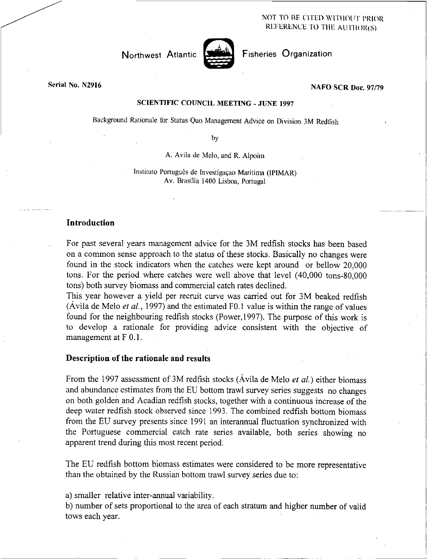NOT TO BE CITED WITHOUT PRIOR REFERENCE TO THE AUTHOR(S)

## Northwest Atlantic



Fisheries Organization

# NAFO SCR Doc. 97/79

## SCIENTIFIC COUNCIL MEETING - JUNE 1997

Background Rationale for Status Quo Management Advice on Division 3M Redfish

by

A. Avila de Melo, and R. Alpoim

Instituto Português de Investigação Maritima (IPIMAR) Av. Brasilia 1400 Lisboa, Portugal

## **Introduction**

For past several years management advice for the 3M redfish stocks has been based on a common sense approach to the status of these stocks. Basically no changes were found in the stock indicators when the catches were kept around or bellow 20,000 tons. For the period where catches were well above that level (40,000 tons-80,000 tons) both survey biomass and commercial catch rates declined.

This year however a yield per recruit curve was carried out for 3M beaked redfish (Avila de Melo *et al.,* 1997) and the estimated F0.1 value is within the range of values found for the neighbouring redfish stocks (Power,1997). The purpose of this work is to develop a rationale for providing advice consistent with the objective of management at F 0.1.

#### **Description of the rationale and results**

From the 1997 assessment of 3M redfish stocks (Avila de Melo *et at)* either biomass and abundance estimates from the EU bottom trawl survey series suggests no changes on both golden and Acadian redfish stocks, together with a continuous increase of the deep water redfish stock observed since 1993. The combined redfish bottom biomass from the EU survey presents since 1991 an interannual fluctuation synchronized with the Portuguese commercial catch rate series available, both series showing no apparent trend during this most recent period.

The EU redfish bottom biomass estimates were considered to be more representative than the obtained by the Russian bottom trawl survey series due to:

a) smaller relative inter-annual variability.

b) number of sets proportional to the area of each stratum and higher number of valid tows each year.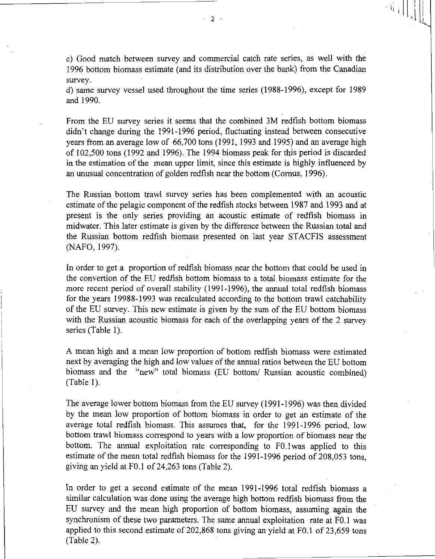c) Good match between survey and commercial catch rate series, as well with the 1996 bottom biomass estimate (and its distribution over the bank) from the Canadian survey.

d) same survey vessel used throughout the time series (1988-1996), except for 1989 and 1990.

From the EU survey series it seems that the combined 3M redfish bottom biomass didn't change during the 1991-1996 period, fluctuating instead between consecutive years from an average low of 66,700 tons (1991, 1993 and 1995) and an average high of 102,500 tons (1992 and 1996). The 1994 biomass peak for this period is discarded in the estimation of the mean upper limit, since this estimate is highly influenced by an unusual concentration of golden redfish near the bottom (Comus, 1996).

The Russian bottom trawl survey series has been complemented with an acoustic estimate of the pelagic component of the redfish stocks between 1987 and 1993 and at present is the only series providing an acoustic estimate of redfish biomass in midwater. This later estimate is given by the difference between the Russian total and the Russian bottom redfish biomass presented on last year STACFIS assessment (NAFO, 1997).

In order to get a proportion of redfish biomass near the bottom that could be used in the convertion of the EU redfish bottom biomass to a total biomass estimate for the more recent period of overall stability (1991-1996), the annual total redfish biomass for the years 19988-1993 was recalculated according to the bottom trawl catchability of the EU survey. This new estimate is given by the sum of the EU bottom biomass with the Russian acoustic biomass for each of the overlapping years of the 2 survey series (Table 1).

A mean high and a mean low proportion of bottom redfish biomass were estimated next by averaging the high and low values of the annual ratios between the EU bottom biomass and the "new" total biomass (EU bottom/ Russian acoustic combined) (Table 1).

The average lower bottom biomass from the EU survey (1991-1996) was then divided by the mean low proportion of bottom biomass in order to get an estimate of the average total redfish biomass. This assumes that, for the 1991-1996 period, low bottom trawl biomass correspond to years with a low proportion of biomass near the bottom. The annual exploitation rate corresponding to F0.1 was applied to this estimate of the mean total redfish biomass for the 1991-1996 period of 208,053 tons, giving an yield at F0.1 of 24,263 tons (Table 2).

In order to get a second estimate of the mean 1991-1996 total redfish biomass a similar calculation was done using the average high bottom redfish biomass from the EU survey and the mean high proportion of bottom biomass, assuming again the synchronism of these two parameters. The same annual exploitation rate at F0.1 was applied to this second estimate of 202,868 tons giving an yield at F0.1 of 23,659 tons (Table 2).

- 2 -

 $\left\| \left[ \begin{array}{c} \mathbf{1}_{i} \end{array} \right] \right\|_{\mathbf{1}}$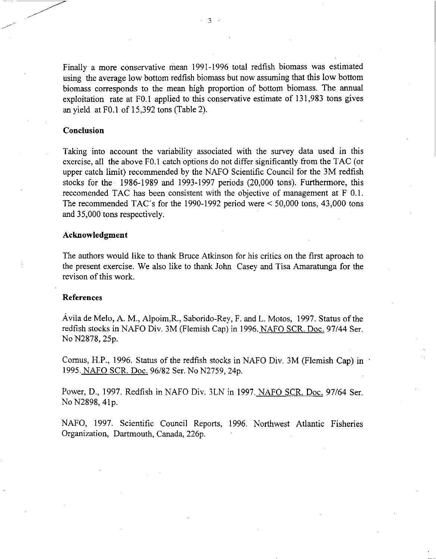Finally a more conservative mean 1991-1996 total redfish biomass was estimated using the average low bottom redfish biomass but now assuming that this low bottom biomass corresponds to the mean high proportion of bottom biomass. The annual exploitation rate at F0.1 applied to this conservative estimate of 131,983 tons gives an yield at F0.1 of 15,392 tons (Table 2).

3

## Conclusion

Taking into account the variability associated with the survey data used in this exercise, all the above F0.1 catch options do not differ significantly from the TAC (or upper catch limit) recommended by the NAFO Scientific Council for the 3M redfish stocks for the 1986-1989 and 1993-1997 periods (20,000 tons). Furthermore, this reccomended TAC has been consistent with the objective of management at F 0.1. The recommended TAC's for the 1990-1992 period were < 50,000 tons, 43,000 tons and 35,000 tons respectively.

#### Acknowledgment

The authors would like to thank Bruce Atkinson for his critics on the first aproach to the present exercise. We also like to thank John Casey and Tisa Amaratunga for the revison of this work.

#### References

Avila de Melo, A. M., Alpoim,R., Saborido-Rey, F. and L. Motos, 1997. Status of the redfish stocks in NAFO Div. 3M (Flemish Cap) in 1996. NAFO SCR. Doc. 97/44 Ser. No N2878, 25p.

Comus, H.P., 1996. Status of the redfish stocks in NAFO Div. 3M (Flemish Cap) in 1995. NAFO SCR. Doc. 96/82 Ser. No N2759, 24p.

Power, D., 1997. Redfish in NAFO Div. 3LN in 1997. NAFO SCR. Doc. 97/64 Ser. No N2898, 41p.

NAFO, 1997. Scientific Council Reports, 1996. Northwest Atlantic Fisheries Organization, Dartmouth, Canada, 226p.